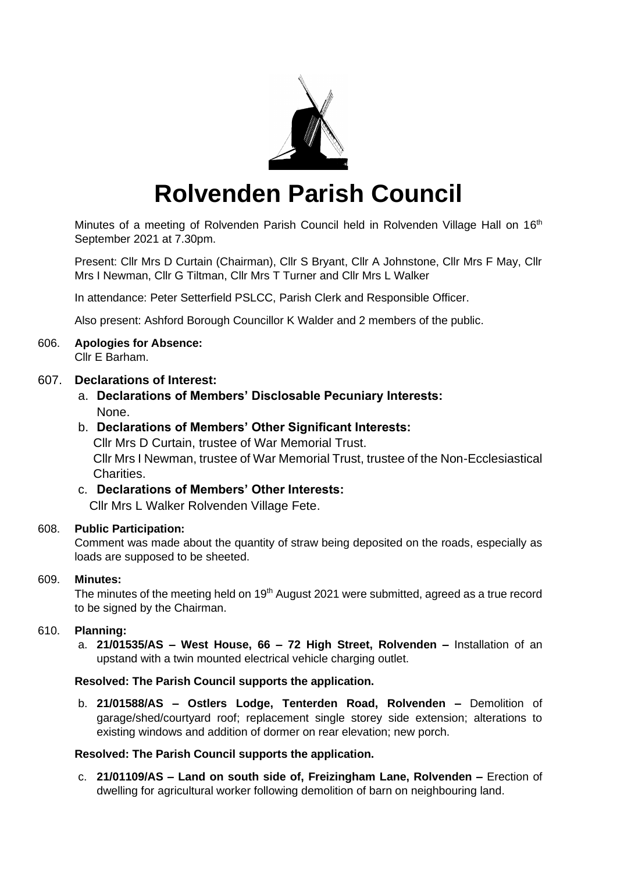

# **Rolvenden Parish Council**

Minutes of a meeting of Rolvenden Parish Council held in Rolvenden Village Hall on 16<sup>th</sup> September 2021 at 7.30pm.

Present: Cllr Mrs D Curtain (Chairman), Cllr S Bryant, Cllr A Johnstone, Cllr Mrs F May, Cllr Mrs I Newman, Cllr G Tiltman, Cllr Mrs T Turner and Cllr Mrs L Walker

In attendance: Peter Setterfield PSLCC, Parish Clerk and Responsible Officer.

Also present: Ashford Borough Councillor K Walder and 2 members of the public.

#### 606. **Apologies for Absence:** Cllr E Barham.

# 607. **Declarations of Interest:**

a. **Declarations of Members' Disclosable Pecuniary Interests:** None.

# b. **Declarations of Members' Other Significant Interests:**

Cllr Mrs D Curtain, trustee of War Memorial Trust. Cllr Mrs I Newman, trustee of War Memorial Trust, trustee of the Non-Ecclesiastical Charities.

# c. **Declarations of Members' Other Interests:**

Cllr Mrs L Walker Rolvenden Village Fete.

# 608. **Public Participation:**

Comment was made about the quantity of straw being deposited on the roads, especially as loads are supposed to be sheeted.

# 609. **Minutes:**

The minutes of the meeting held on 19<sup>th</sup> August 2021 were submitted, agreed as a true record to be signed by the Chairman.

# 610. **Planning:**

a. **21/01535/AS – West House, 66 – 72 High Street, Rolvenden –** Installation of an upstand with a twin mounted electrical vehicle charging outlet.

# **Resolved: The Parish Council supports the application.**

b. **21/01588/AS – Ostlers Lodge, Tenterden Road, Rolvenden –** Demolition of garage/shed/courtyard roof; replacement single storey side extension; alterations to existing windows and addition of dormer on rear elevation; new porch.

# **Resolved: The Parish Council supports the application.**

c. **21/01109/AS – Land on south side of, Freizingham Lane, Rolvenden –** Erection of dwelling for agricultural worker following demolition of barn on neighbouring land.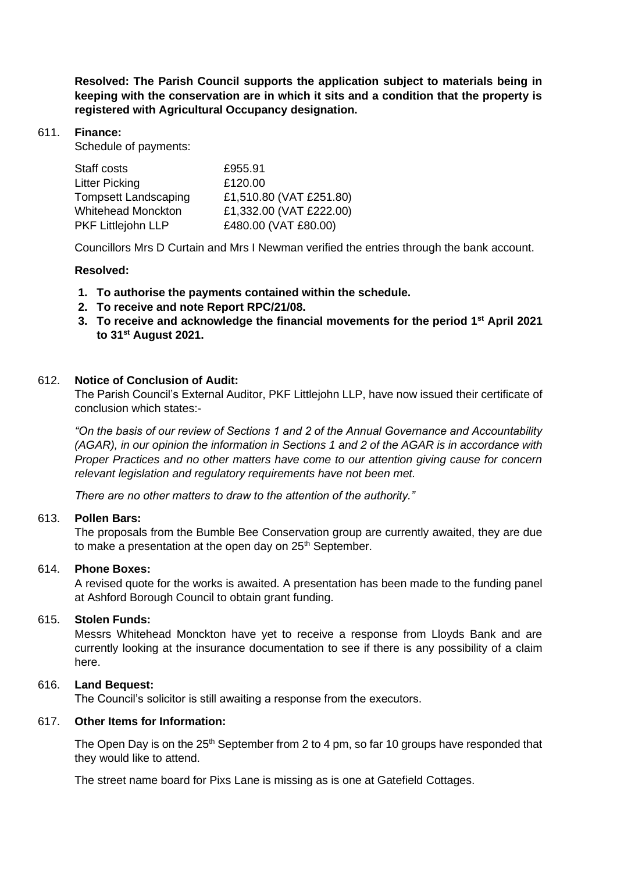**Resolved: The Parish Council supports the application subject to materials being in keeping with the conservation are in which it sits and a condition that the property is registered with Agricultural Occupancy designation.**

# 611. **Finance:**

Schedule of payments:

| Staff costs                 | £955.91                 |
|-----------------------------|-------------------------|
| <b>Litter Picking</b>       | £120.00                 |
| <b>Tompsett Landscaping</b> | £1,510.80 (VAT £251.80) |
| <b>Whitehead Monckton</b>   | £1,332.00 (VAT £222.00) |
| PKF Littlejohn LLP          | £480.00 (VAT £80.00)    |

Councillors Mrs D Curtain and Mrs I Newman verified the entries through the bank account.

# **Resolved:**

- **1. To authorise the payments contained within the schedule.**
- **2. To receive and note Report RPC/21/08.**
- **3. To receive and acknowledge the financial movements for the period 1st April 2021 to 31st August 2021.**

# 612. **Notice of Conclusion of Audit:**

The Parish Council's External Auditor, PKF Littlejohn LLP, have now issued their certificate of conclusion which states:-

*"On the basis of our review of Sections 1 and 2 of the Annual Governance and Accountability (AGAR), in our opinion the information in Sections 1 and 2 of the AGAR is in accordance with Proper Practices and no other matters have come to our attention giving cause for concern relevant legislation and regulatory requirements have not been met.*

*There are no other matters to draw to the attention of the authority."*

## 613. **Pollen Bars:**

The proposals from the Bumble Bee Conservation group are currently awaited, they are due to make a presentation at the open day on 25<sup>th</sup> September.

## 614. **Phone Boxes:**

A revised quote for the works is awaited. A presentation has been made to the funding panel at Ashford Borough Council to obtain grant funding.

## 615. **Stolen Funds:**

Messrs Whitehead Monckton have yet to receive a response from Lloyds Bank and are currently looking at the insurance documentation to see if there is any possibility of a claim here.

## 616. **Land Bequest:**

The Council's solicitor is still awaiting a response from the executors.

# 617. **Other Items for Information:**

The Open Day is on the 25<sup>th</sup> September from 2 to 4 pm, so far 10 groups have responded that they would like to attend.

The street name board for Pixs Lane is missing as is one at Gatefield Cottages.